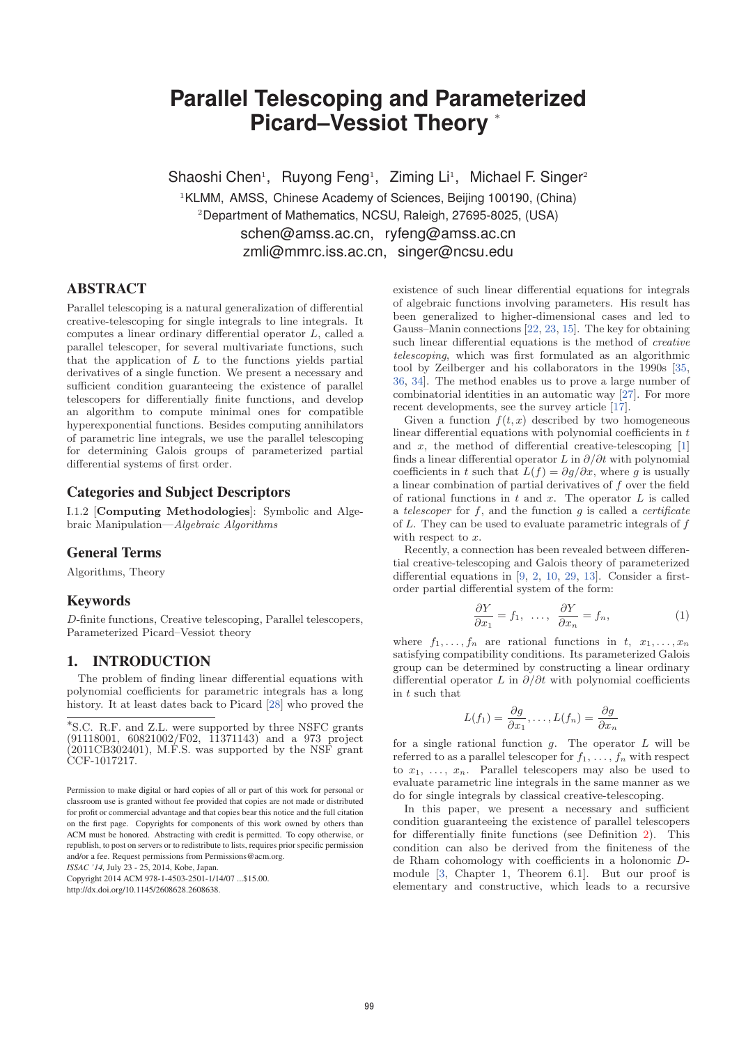# **Parallel Telescoping and Parameterized Picard–Vessiot Theory** <sup>∗</sup>

Shaoshi Chen<sup>1</sup>, Ruyong Feng<sup>1</sup>, Ziming Li<sup>1</sup>, Michael F. Singer<sup>2</sup>

<sup>1</sup> KLMM, AMSS, Chinese Academy of Sciences, Beijing 100190, (China) <sup>2</sup>Department of Mathematics, NCSU, Raleigh, 27695-8025, (USA) schen@amss.ac.cn, ryfeng@amss.ac.cn

zmli@mmrc.iss.ac.cn, singer@ncsu.edu

# ABSTRACT

Parallel telescoping is a natural generalization of differential creative-telescoping for single integrals to line integrals. It computes a linear ordinary differential operator L, called a parallel telescoper, for several multivariate functions, such that the application of  $L$  to the functions yields partial derivatives of a single function. We present a necessary and sufficient condition guaranteeing the existence of parallel telescopers for differentially finite functions, and develop an algorithm to compute minimal ones for compatible hyperexponential functions. Besides computing annihilators of parametric line integrals, we use the parallel telescoping for determining Galois groups of parameterized partial differential systems of first order.

# Categories and Subject Descriptors

I.1.2 [**Computing Methodologies**]: Symbolic and Algebraic Manipulation—Algebraic Algorithms

## General Terms

Algorithms, Theory

## Keywords

D-finite functions, Creative telescoping, Parallel telescopers, Parameterized Picard–Vessiot theory

# 1. INTRODUCTION

The problem of finding linear differential equations with polynomial coefficients for parametric integrals has a long history. It at least dates back to Picard [28] who proved the

*ISSAC '14,* July 23 - 25, 2014, Kobe, Japan.

Copyright 2014 ACM 978-1-4503-2501-1/14/07 ...\$15.00. http://dx.doi.org/10.1145/2608628.2608638.

existence of such linear differential equations for integrals of algebraic functions involving parameters. His result has been generalized to higher-dimensional cases and led to Gauss–Manin connections [22, 23, 15]. The key for obtaining such linear differential equations is the method of creative telescoping, which was first formulated as an algorithmic tool by Zeilberger and his collaborators in the 1990s [35, 36, 34]. The method enables us to prove a large number of combinatorial identities in an automatic way [27]. For more recent developments, see the survey article [17].

Given a function  $f(t, x)$  described by two homogeneous linear differential equations with polynomial coefficients in  $t$ and x, the method of differential creative-telescoping  $[1]$ finds a linear differential operator L in  $\partial/\partial t$  with polynomial coefficients in t such that  $L(f) = \frac{\partial q}{\partial x}$ , where q is usually a linear combination of partial derivatives of f over the field of rational functions in  $t$  and  $x$ . The operator  $L$  is called a telescoper for  $f$ , and the function  $g$  is called a *certificate* of L. They can be used to evaluate parametric integrals of f with respect to  $x$ .

Recently, a connection has been revealed between differential creative-telescoping and Galois theory of parameterized differential equations in [9, 2, 10, 29, 13]. Consider a firstorder partial differential system of the form:

$$
\frac{\partial Y}{\partial x_1} = f_1, \ \dots, \ \frac{\partial Y}{\partial x_n} = f_n,\tag{1}
$$

where  $f_1, \ldots, f_n$  are rational functions in  $t, x_1, \ldots, x_n$ satisfying compatibility conditions. Its parameterized Galois group can be determined by constructing a linear ordinary differential operator L in  $\partial/\partial t$  with polynomial coefficients in t such that

$$
L(f_1) = \frac{\partial g}{\partial x_1}, \dots, L(f_n) = \frac{\partial g}{\partial x_n}
$$

for a single rational function  $g$ . The operator  $L$  will be referred to as a parallel telescoper for  $f_1, \ldots, f_n$  with respect to  $x_1, \ldots, x_n$ . Parallel telescopers may also be used to evaluate parametric line integrals in the same manner as we do for single integrals by classical creative-telescoping.

In this paper, we present a necessary and sufficient condition guaranteeing the existence of parallel telescopers for differentially finite functions (see Definition 2). This condition can also be derived from the finiteness of the de Rham cohomology with coefficients in a holonomic Dmodule [3, Chapter 1, Theorem 6.1]. But our proof is elementary and constructive, which leads to a recursive

<sup>∗</sup>S.C. R.F. and Z.L. were supported by three NSFC grants (91118001, 60821002/F02, 11371143) and a 973 project (2011CB302401), M.F.S. was supported by the NSF grant CCF-1017217.

Permission to make digital or hard copies of all or part of this work for personal or classroom use is granted without fee provided that copies are not made or distributed for profit or commercial advantage and that copies bear this notice and the full citation on the first page. Copyrights for components of this work owned by others than ACM must be honored. Abstracting with credit is permitted. To copy otherwise, or republish, to post on servers or to redistribute to lists, requires prior specific permission and/or a fee. Request permissions from Permissions@acm.org.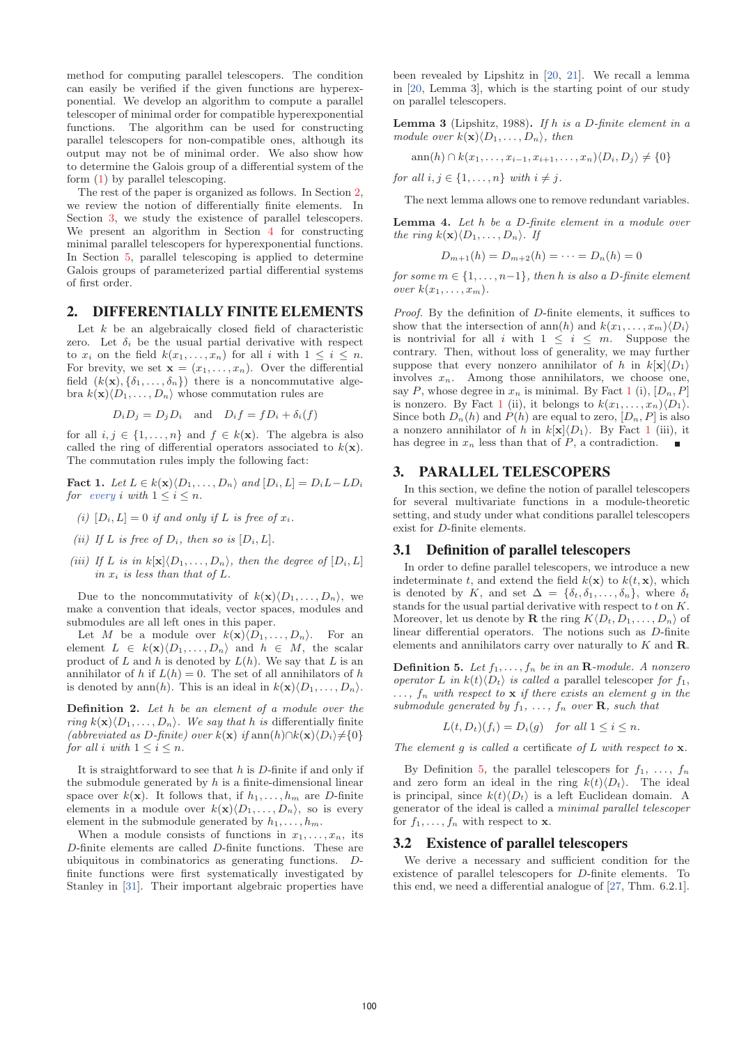method for computing parallel telescopers. The condition can easily be verified if the given functions are hyperexponential. We develop an algorithm to compute a parallel telescoper of minimal order for compatible hyperexponential functions. The algorithm can be used for constructing parallel telescopers for non-compatible ones, although its output may not be of minimal order. We also show how to determine the Galois group of a differential system of the form (1) by parallel telescoping.

The rest of the paper is organized as follows. In Section 2, we review the notion of differentially finite elements. In Section 3, we study the existence of parallel telescopers. We present an algorithm in Section 4 for constructing minimal parallel telescopers for hyperexponential functions. In Section 5, parallel telescoping is applied to determine Galois groups of parameterized partial differential systems of first order.

## 2. DIFFERENTIALLY FINITE ELEMENTS

Let  $k$  be an algebraically closed field of characteristic zero. Let  $\delta_i$  be the usual partial derivative with respect to  $x_i$  on the field  $k(x_1,...,x_n)$  for all i with  $1 \leq i \leq n$ . For brevity, we set  $\mathbf{x} = (x_1, \ldots, x_n)$ . Over the differential field  $(k(\mathbf{x}), {\delta_1, \ldots, \delta_n})$  there is a noncommutative algebra  $k(\mathbf{x})\langle D_1,\ldots,D_n\rangle$  whose commutation rules are

$$
D_i D_j = D_j D_i
$$
 and  $D_i f = f D_i + \delta_i(f)$ 

for all  $i, j \in \{1, \ldots, n\}$  and  $f \in k(\mathbf{x})$ . The algebra is also called the ring of differential operators associated to  $k(\mathbf{x})$ . The commutation rules imply the following fact:

**Fact 1.** Let  $L \in k(\mathbf{x})\langle D_1, \ldots, D_n \rangle$  and  $[D_i, L] = D_i L - LD_i$ for every i with  $1 \leq i \leq n$ .

(i)  $[D_i, L] = 0$  if and only if L is free of  $x_i$ .

- (ii) If L is free of  $D_i$ , then so is  $[D_i, L]$ .
- (iii) If L is in  $k[\mathbf{x}]\langle D_1,\ldots,D_n\rangle$ , then the degree of  $[D_i,L]$ in  $x_i$  is less than that of  $L$ .

Due to the noncommutativity of  $k(\mathbf{x})\langle D_1,\ldots,D_n\rangle$ , we make a convention that ideals, vector spaces, modules and submodules are all left ones in this paper.

Let M be a module over  $k(\mathbf{x})\langle D_1,\ldots,D_n\rangle$ . For an element  $L \in k(\mathbf{x})\langle D_1,\ldots,D_n\rangle$  and  $h \in M$ , the scalar product of L and h is denoted by  $L(h)$ . We say that L is an annihilator of h if  $L(h) = 0$ . The set of all annihilators of h is denoted by ann(h). This is an ideal in  $k(\mathbf{x})\langle D_1,\ldots,D_n\rangle$ .

**Definition 2.** Let h be an element of a module over the ring  $k(\mathbf{x})\langle D_1,\ldots,D_n\rangle$ . We say that h is differentially finite (abbreviated as D-finite) over  $k(\mathbf{x})$  if  $\text{ann}(h) \cap k(\mathbf{x}) \langle D_i \rangle \neq \{0\}$ for all i with  $1 \leq i \leq n$ .

It is straightforward to see that  $h$  is  $D$ -finite if and only if the submodule generated by  $h$  is a finite-dimensional linear space over  $k(\mathbf{x})$ . It follows that, if  $h_1,\ldots,h_m$  are D-finite elements in a module over  $k(\mathbf{x})\langle D_1,\ldots,D_n\rangle$ , so is every element in the submodule generated by  $h_1, \ldots, h_m$ .

When a module consists of functions in  $x_1, \ldots, x_n$ , its D-finite elements are called D-finite functions. These are ubiquitous in combinatorics as generating functions. Dfinite functions were first systematically investigated by Stanley in [31]. Their important algebraic properties have

been revealed by Lipshitz in [20, 21]. We recall a lemma in [20, Lemma 3], which is the starting point of our study on parallel telescopers.

**Lemma 3** (Lipshitz, 1988)**.** If h is a D-finite element in a module over  $k(\mathbf{x})\langle D_1,\ldots,D_n\rangle$ , then

$$
\operatorname{ann}(h) \cap k(x_1, \ldots, x_{i-1}, x_{i+1}, \ldots, x_n) \langle D_i, D_j \rangle \neq \{0\}
$$

for all  $i, j \in \{1, \ldots, n\}$  with  $i \neq j$ .

The next lemma allows one to remove redundant variables.

**Lemma 4.** Let h be a D-finite element in a module over the ring  $k(\mathbf{x})\langle D_1,\ldots,D_n\rangle$ . If

$$
D_{m+1}(h) = D_{m+2}(h) = \cdots = D_n(h) = 0
$$

for some  $m \in \{1, \ldots, n-1\}$ , then h is also a D-finite element over  $k(x_1,\ldots,x_m)$ .

Proof. By the definition of D-finite elements, it suffices to show that the intersection of ann(h) and  $k(x_1,...,x_m)\langle D_i\rangle$ is nontrivial for all i with  $1 \leq i \leq m$ . Suppose the contrary. Then, without loss of generality, we may further suppose that every nonzero annihilator of h in  $k[\mathbf{x}]\langle D_1\rangle$ involves  $x_n$ . Among those annihilators, we choose one, say P, whose degree in  $x_n$  is minimal. By Fact 1 (i),  $[D_n, P]$ is nonzero. By Fact 1 (ii), it belongs to  $k(x_1,\ldots,x_n)\langle D_1\rangle$ . Since both  $D_n(h)$  and  $P(h)$  are equal to zero,  $[D_n, P]$  is also a nonzero annihilator of h in  $k[\mathbf{x}]\langle D_1\rangle$ . By Fact 1 (iii), it has degree in  $x_n$  less than that of  $P$ , a contradiction.

# 3. PARALLEL TELESCOPERS

In this section, we define the notion of parallel telescopers for several multivariate functions in a module-theoretic setting, and study under what conditions parallel telescopers exist for D-finite elements.

## 3.1 Definition of parallel telescopers

In order to define parallel telescopers, we introduce a new indeterminate t, and extend the field  $k(\mathbf{x})$  to  $k(t, \mathbf{x})$ , which is denoted by K, and set  $\Delta = {\delta_t, \delta_1, \ldots, \delta_n}$ , where  $\delta_t$ stands for the usual partial derivative with respect to  $t$  on  $K$ . Moreover, let us denote by **R** the ring  $K\langle D_t, D_1, \ldots, D_n \rangle$  of linear differential operators. The notions such as D-finite elements and annihilators carry over naturally to K and **R**.

**Definition 5.** Let  $f_1, \ldots, f_n$  be in an **R**-module. A nonzero operator L in  $k(t)\langle D_t \rangle$  is called a parallel telescoper for  $f_1$ ,  $\ldots$ ,  $f_n$  with respect to **x** if there exists an element g in the submodule generated by  $f_1, \ldots, f_n$  over **R**, such that

$$
L(t, D_t)(f_i) = D_i(g) \quad \text{for all } 1 \le i \le n.
$$

The element g is called a certificate of L with respect to **x**.

By Definition 5, the parallel telescopers for  $f_1, \ldots, f_n$ and zero form an ideal in the ring  $k(t)\langle D_t\rangle$ . The ideal is principal, since  $k(t)\langle D_t \rangle$  is a left Euclidean domain. A generator of the ideal is called a minimal parallel telescoper for  $f_1, \ldots, f_n$  with respect to **x**.

#### 3.2 Existence of parallel telescopers

We derive a necessary and sufficient condition for the existence of parallel telescopers for D-finite elements. To this end, we need a differential analogue of [27, Thm. 6.2.1].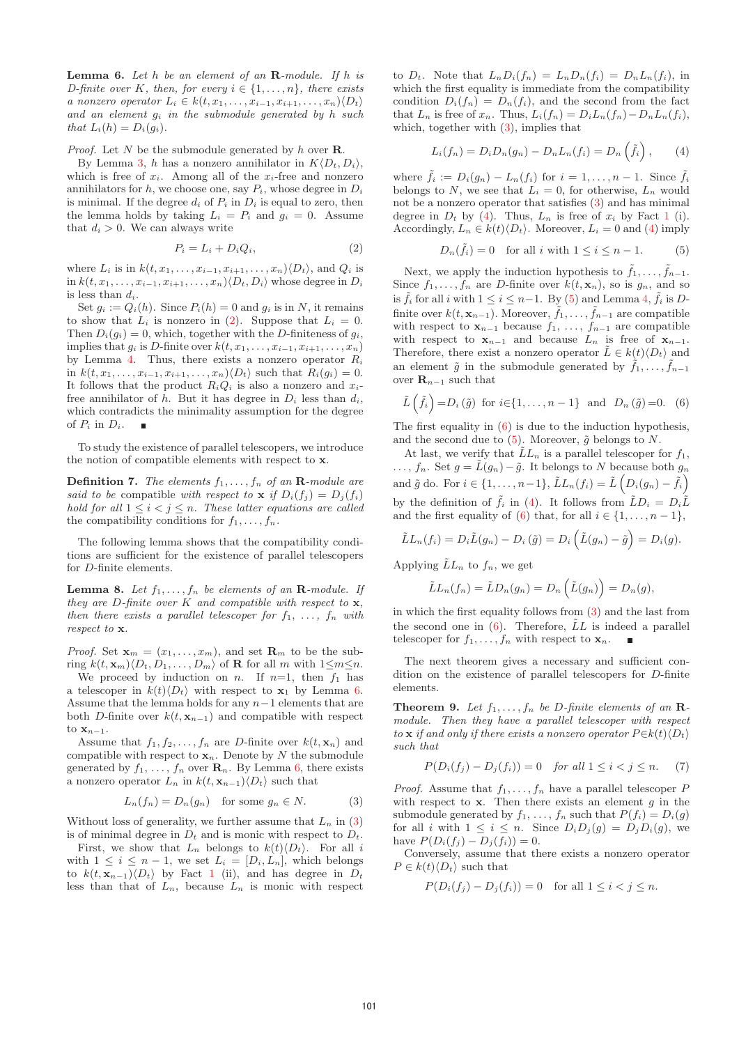**Lemma 6.** Let h be an element of an **R**-module. If h is D-finite over K, then, for every  $i \in \{1, \ldots, n\}$ , there exists a nonzero operator  $L_i \in k(t, x_1, \ldots, x_{i-1}, x_{i+1}, \ldots, x_n) \langle D_t \rangle$ and an element  $g_i$  in the submodule generated by h such that  $L_i(h) = D_i(g_i)$ .

Proof. Let N be the submodule generated by h over **R**.

By Lemma 3, h has a nonzero annihilator in  $K\langle D_t, D_i \rangle$ , which is free of  $x_i$ . Among all of the  $x_i$ -free and nonzero annihilators for  $h$ , we choose one, say  $P_i$ , whose degree in  $D_i$ is minimal. If the degree  $d_i$  of  $P_i$  in  $D_i$  is equal to zero, then the lemma holds by taking  $L_i = P_i$  and  $q_i = 0$ . Assume that  $d_i > 0$ . We can always write

$$
P_i = L_i + D_i Q_i, \t\t(2)
$$

where  $L_i$  is in  $k(t, x_1, \ldots, x_{i-1}, x_{i+1}, \ldots, x_n) \langle D_t \rangle$ , and  $Q_i$  is in  $k(t, x_1,...,x_{i-1}, x_{i+1},...,x_n)$  $\langle D_t, D_i \rangle$  whose degree in  $D_i$ is less than  $d_i$ .

Set  $g_i := Q_i(h)$ . Since  $P_i(h) = 0$  and  $g_i$  is in N, it remains to show that  $L_i$  is nonzero in (2). Suppose that  $L_i = 0$ . Then  $D_i(q_i) = 0$ , which, together with the D-finiteness of  $q_i$ , implies that  $g_i$  is D-finite over  $k(t, x_1, \ldots, x_{i-1}, x_{i+1}, \ldots, x_n)$ by Lemma 4. Thus, there exists a nonzero operator  $R_i$ in  $k(t, x_1, \ldots, x_{i-1}, x_{i+1}, \ldots, x_n) \langle D_t \rangle$  such that  $R_i(q_i) = 0$ . It follows that the product  $R_iQ_i$  is also a nonzero and  $x_i$ free annihilator of h. But it has degree in  $D_i$  less than  $d_i$ , which contradicts the minimality assumption for the degree of  $P_i$  in  $D_i$ .  $\blacksquare$ 

To study the existence of parallel telescopers, we introduce the notion of compatible elements with respect to **x**.

**Definition 7.** The elements  $f_1, \ldots, f_n$  of an **R**-module are said to be compatible with respect to **x** if  $D_i(f_j) = D_j(f_i)$ hold for all  $1 \leq i < j \leq n$ . These latter equations are called the compatibility conditions for  $f_1, \ldots, f_n$ .

The following lemma shows that the compatibility conditions are sufficient for the existence of parallel telescopers for D-finite elements.

**Lemma 8.** Let  $f_1, \ldots, f_n$  be elements of an **R**-module. If they are D-finite over K and compatible with respect to **x**, then there exists a parallel telescoper for  $f_1, \ldots, f_n$  with respect to **x**.

*Proof.* Set  $\mathbf{x}_m = (x_1, \ldots, x_m)$ , and set  $\mathbf{R}_m$  to be the subring  $k(t, \mathbf{x}_m)\langle D_t, D_1, \ldots, D_m\rangle$  of **R** for all m with  $1 \le m \le n$ .

We proceed by induction on *n*. If  $n=1$ , then  $f_1$  has a telescoper in  $k(t)\langle D_t \rangle$  with respect to **x**<sub>1</sub> by Lemma 6. Assume that the lemma holds for any  $n-1$  elements that are both D-finite over  $k(t, \mathbf{x}_{n-1})$  and compatible with respect to  $\mathbf{x}_{n-1}$ .

Assume that  $f_1, f_2, \ldots, f_n$  are *D*-finite over  $k(t, \mathbf{x}_n)$  and compatible with respect to  $\mathbf{x}_n$ . Denote by N the submodule generated by  $f_1, \ldots, f_n$  over  $\mathbf{R}_n$ . By Lemma 6, there exists a nonzero operator  $L_n$  in  $k(t, \mathbf{x}_{n-1})\langle D_t \rangle$  such that

$$
L_n(f_n) = D_n(g_n) \quad \text{for some } g_n \in N. \tag{3}
$$

Without loss of generality, we further assume that  $L_n$  in (3) is of minimal degree in  $D_t$  and is monic with respect to  $D_t$ .

First, we show that  $L_n$  belongs to  $k(t)\langle D_t\rangle$ . For all i with  $1 \leq i \leq n-1$ , we set  $L_i = [D_i, L_n]$ , which belongs to  $k(t, \mathbf{x}_{n-1})\langle D_t \rangle$  by Fact 1 (ii), and has degree in  $D_t$ less than that of  $L_n$ , because  $L_n$  is monic with respect

to  $D_t$ . Note that  $L_nD_i(f_n) = L_nD_n(f_i) = D_nL_n(f_i)$ , in which the first equality is immediate from the compatibility condition  $D_i(f_n) = D_n(f_i)$ , and the second from the fact that  $L_n$  is free of  $x_n$ . Thus,  $L_i(f_n) = D_i L_n(f_n) - D_n L_n(f_i)$ , which, together with (3), implies that

$$
L_i(f_n) = D_i D_n(g_n) - D_n L_n(f_i) = D_n \left(\tilde{f}_i\right), \qquad (4)
$$

where  $\tilde{f}_i := D_i(g_n) - L_n(f_i)$  for  $i = 1, \ldots, n-1$ . Since  $\tilde{f}_i$ belongs to N, we see that  $L_i = 0$ , for otherwise,  $L_n$  would not be a nonzero operator that satisfies (3) and has minimal degree in  $D_t$  by (4). Thus,  $L_n$  is free of  $x_i$  by Fact 1 (i). Accordingly,  $L_n \in k(t) \langle D_t \rangle$ . Moreover,  $L_i = 0$  and (4) imply

$$
D_n(\tilde{f}_i) = 0 \quad \text{for all } i \text{ with } 1 \le i \le n - 1. \tag{5}
$$

Next, we apply the induction hypothesis to  $\tilde{f}_1,\ldots,\tilde{f}_{n-1}$ . Since  $f_1, \ldots, f_n$  are *D*-finite over  $k(t, \mathbf{x}_n)$ , so is  $g_n$ , and so is  $\tilde{f}_i$  for all i with  $1 \leq i \leq n-1$ . By (5) and Lemma 4,  $\tilde{f}_i$  is Dfinite over  $k(t, \mathbf{x}_{n-1})$ . Moreover,  $\tilde{f}_1, \ldots, \tilde{f}_{n-1}$  are compatible with respect to  $\mathbf{x}_{n-1}$  because  $f_1, \ldots, f_{n-1}$  are compatible with respect to  $\mathbf{x}_{n-1}$  and because  $L_n$  is free of  $\mathbf{x}_{n-1}$ . Therefore, there exist a nonzero operator  $\tilde{L} \in k(t) \langle D_t \rangle$  and an element  $\tilde{g}$  in the submodule generated by  $\tilde{f}_1,\ldots,\tilde{f}_{n-1}$ over  $\mathbf{R}_{n-1}$  such that

$$
\tilde{L}(\tilde{f}_i) = D_i(\tilde{g}) \text{ for } i \in \{1, \dots, n-1\} \text{ and } D_n(\tilde{g}) = 0. \tag{6}
$$

The first equality in  $(6)$  is due to the induction hypothesis, and the second due to (5). Moreover,  $\tilde{g}$  belongs to N.

At last, we verify that  $\tilde{L}L_n$  is a parallel telescoper for  $f_1$ , ...,  $f_n$ . Set  $g = \tilde{L}(g_n) - \tilde{g}$ . It belongs to N because both  $g_n$ and  $\tilde{g}$  do. For  $i \in \{1, ..., n-1\}$ ,  $\tilde{L}L_n(f_i) = \tilde{L}\left(D_i(g_n) - \tilde{f}_i\right)$ by the definition of  $\tilde{f}_i$  in (4). It follows from  $\tilde{L}D_i = D_i\tilde{L}$ and the first equality of (6) that, for all  $i \in \{1, \ldots, n-1\}$ ,

$$
\tilde{L}L_n(f_i) = D_i \tilde{L}(g_n) - D_i(\tilde{g}) = D_i(\tilde{L}(g_n) - \tilde{g}) = D_i(g).
$$

Applying  $\tilde{L}L_n$  to  $f_n$ , we get

$$
\tilde{L}L_n(f_n) = \tilde{L}D_n(g_n) = D_n\left(\tilde{L}(g_n)\right) = D_n(g),
$$

in which the first equality follows from (3) and the last from the second one in  $(6)$ . Therefore,  $\tilde{L}L$  is indeed a parallel telescoper for  $f_1, \ldots, f_n$  with respect to  $\mathbf{x}_n$ .

The next theorem gives a necessary and sufficient condition on the existence of parallel telescopers for D-finite elements.

**Theorem 9.** Let  $f_1, \ldots, f_n$  be D-finite elements of an **R**module. Then they have a parallel telescoper with respect to **x** if and only if there exists a nonzero operator  $P \in k(t) \langle D_t \rangle$ such that

$$
P(D_i(f_j) - D_j(f_i)) = 0 \quad \text{for all } 1 \leq i < j \leq n. \tag{7}
$$

*Proof.* Assume that  $f_1, \ldots, f_n$  have a parallel telescoper P with respect to  $x$ . Then there exists an element  $g$  in the submodule generated by  $f_1, \ldots, f_n$  such that  $P(f_i) = D_i(g)$ for all i with  $1 \leq i \leq n$ . Since  $D_i D_j(g) = D_j D_i(g)$ , we have  $P(D_i(f_i) - D_i(f_i)) = 0$ .

Conversely, assume that there exists a nonzero operator  $P \in k(t) \langle D_t \rangle$  such that

$$
P(D_i(f_j) - D_j(f_i)) = 0
$$
 for all  $1 \le i < j \le n$ .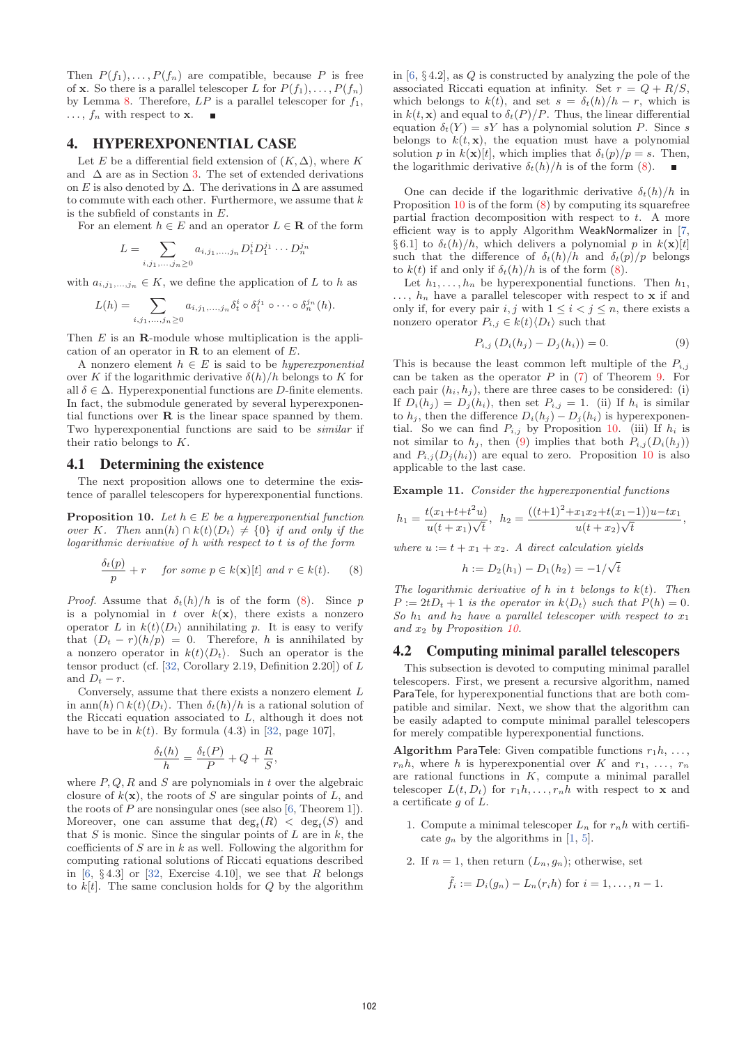Then  $P(f_1),...,P(f_n)$  are compatible, because P is free of **x**. So there is a parallel telescoper L for  $P(f_1), \ldots, P(f_n)$ by Lemma 8. Therefore,  $LP$  is a parallel telescoper for  $f_1$ ,  $\ldots$ ,  $f_n$  with respect to **x**.

# 4. HYPEREXPONENTIAL CASE

Let E be a differential field extension of  $(K, \Delta)$ , where K and  $\Delta$  are as in Section 3. The set of extended derivations on E is also denoted by  $\Delta$ . The derivations in  $\Delta$  are assumed to commute with each other. Furthermore, we assume that  $k$ is the subfield of constants in E.

For an element  $h \in E$  and an operator  $L \in \mathbf{R}$  of the form

$$
L = \sum_{i,j_1,...,j_n \ge 0} a_{i,j_1,...,j_n} D_t^i D_1^{j_1} \cdots D_n^{j_n}
$$

with  $a_{i,j_1,...,j_n} \in K$ , we define the application of L to h as

$$
L(h) = \sum_{i,j_1,\ldots,j_n \geq 0} a_{i,j_1,\ldots,j_n} \delta_t^i \circ \delta_1^{j_1} \circ \cdots \circ \delta_n^{j_n}(h).
$$

Then E is an **R**-module whose multiplication is the application of an operator in **R** to an element of E.

A nonzero element  $h \in E$  is said to be *hyperexponential* over K if the logarithmic derivative  $\delta(h)/h$  belongs to K for all  $\delta \in \Delta$ . Hyperexponential functions are D-finite elements. In fact, the submodule generated by several hyperexponential functions over **R** is the linear space spanned by them. Two hyperexponential functions are said to be similar if their ratio belongs to K.

#### 4.1 Determining the existence

The next proposition allows one to determine the existence of parallel telescopers for hyperexponential functions.

**Proposition 10.** Let  $h \in E$  be a hyperexponential function over K. Then ann(h)  $\cap k(t) \langle D_t \rangle \neq \{0\}$  if and only if the logarithmic derivative of h with respect to t is of the form

$$
\frac{\delta_t(p)}{p} + r \quad \text{ for some } p \in k(\mathbf{x})[t] \text{ and } r \in k(t). \tag{8}
$$

*Proof.* Assume that  $\delta_t(h)/h$  is of the form (8). Since p is a polynomial in  $t$  over  $k(\mathbf{x})$ , there exists a nonzero operator L in  $k(t)\langle D_t\rangle$  annihilating p. It is easy to verify that  $(D_t - r)(h/p) = 0$ . Therefore, h is annihilated by a nonzero operator in  $k(t)\langle D_t\rangle$ . Such an operator is the tensor product (cf.  $[32, Corollary 2.19, Definition 2.20]$ ) of L and  $D_t - r$ .

Conversely, assume that there exists a nonzero element L in ann(h) ∩  $k(t) \langle D_t \rangle$ . Then  $\delta_t(h)/h$  is a rational solution of the Riccati equation associated to L, although it does not have to be in  $k(t)$ . By formula (4.3) in [32, page 107],

$$
\frac{\delta_t(h)}{h} = \frac{\delta_t(P)}{P} + Q + \frac{R}{S},
$$

where  $P, Q, R$  and  $S$  are polynomials in t over the algebraic closure of  $k(\mathbf{x})$ , the roots of S are singular points of L, and the roots of  $P$  are nonsingular ones (see also [6, Theorem 1]). Moreover, one can assume that  $\deg_t(R) < \deg_t(S)$  and that  $S$  is monic. Since the singular points of  $L$  are in  $k$ , the coefficients of  $S$  are in  $k$  as well. Following the algorithm for computing rational solutions of Riccati equations described in [6,  $\S 4.3$ ] or [32, Exercise 4.10], we see that R belongs to  $k[t]$ . The same conclusion holds for  $Q$  by the algorithm

in  $[6, § 4.2]$ , as Q is constructed by analyzing the pole of the associated Riccati equation at infinity. Set  $r = Q + R/S$ , which belongs to  $k(t)$ , and set  $s = \delta_t(h)/h - r$ , which is in  $k(t, \mathbf{x})$  and equal to  $\delta_t(P)/P$ . Thus, the linear differential equation  $\delta_t(Y) = sY$  has a polynomial solution P. Since s belongs to  $k(t, \mathbf{x})$ , the equation must have a polynomial solution p in  $k(\mathbf{x})[t]$ , which implies that  $\delta_t(p)/p = s$ . Then, the logarithmic derivative  $\delta_t(h)/h$  is of the form (8).

One can decide if the logarithmic derivative  $\delta_t(h)/h$  in Proposition 10 is of the form  $(8)$  by computing its squarefree partial fraction decomposition with respect to  $t$ . A more efficient way is to apply Algorithm WeakNormalizer in [7, § 6.1] to  $\delta_t(h)/h$ , which delivers a polynomial p in  $k(\mathbf{x})[t]$ such that the difference of  $\delta_t(h)/h$  and  $\delta_t(p)/p$  belongs to  $k(t)$  if and only if  $\delta_t(h)/h$  is of the form (8).

Let  $h_1, \ldots, h_n$  be hyperexponential functions. Then  $h_1$ ,  $\ldots$ ,  $h_n$  have a parallel telescoper with respect to **x** if and only if, for every pair i, j with  $1 \leq i < j \leq n$ , there exists a nonzero operator  $P_{i,j} \in k(t) \langle D_t \rangle$  such that

$$
P_{i,j} (D_i(h_j) - D_j(h_i)) = 0.
$$
 (9)

This is because the least common left multiple of the  $P_{i,j}$ can be taken as the operator  $P$  in (7) of Theorem 9. For each pair  $(h_i, h_j)$ , there are three cases to be considered: (i) If  $D_i(h_i) = D_i(h_i)$ , then set  $P_{i,i} = 1$ . (ii) If  $h_i$  is similar to  $h_i$ , then the difference  $D_i(h_i) - D_j(h_i)$  is hyperexponential. So we can find  $P_{i,j}$  by Proposition 10. (iii) If  $h_i$  is not similar to  $h_i$ , then (9) implies that both  $P_{i,j}(D_i(h_i))$ and  $P_{i,j}(D_i(h_i))$  are equal to zero. Proposition 10 is also applicable to the last case.

**Example 11.** Consider the hyperexponential functions

$$
h_1 = \frac{t(x_1+t+t^2u)}{u(t+x_1)\sqrt{t}}, \ \ h_2 = \frac{((t+1)^2 + x_1x_2+t(x_1-1))u - tx_1}{u(t+x_2)\sqrt{t}},
$$

where  $u := t + x_1 + x_2$ . A direct calculation yields

$$
h := D_2(h_1) - D_1(h_2) = -1/\sqrt{t}
$$

The logarithmic derivative of  $h$  in  $t$  belongs to  $k(t)$ . Then  $P := 2tD_t + 1$  is the operator in  $k\langle D_t \rangle$  such that  $P(h) = 0$ . So  $h_1$  and  $h_2$  have a parallel telescoper with respect to  $x_1$ and  $x_2$  by Proposition 10.

### 4.2 Computing minimal parallel telescopers

This subsection is devoted to computing minimal parallel telescopers. First, we present a recursive algorithm, named ParaTele, for hyperexponential functions that are both compatible and similar. Next, we show that the algorithm can be easily adapted to compute minimal parallel telescopers for merely compatible hyperexponential functions.

**Algorithm ParaTele:** Given compatible functions  $r_1h$ , ...,  $r_n h$ , where h is hyperexponential over K and  $r_1, \ldots, r_n$ are rational functions in  $K$ , compute a minimal parallel telescoper  $L(t, D_t)$  for  $r_1 h, \ldots, r_n h$  with respect to **x** and a certificate  $g$  of  $L$ .

- 1. Compute a minimal telescoper  $L_n$  for  $r_n h$  with certificate  $q_n$  by the algorithms in [1, 5].
- 2. If  $n = 1$ , then return  $(L_n, g_n)$ ; otherwise, set

$$
\tilde{f}_i := D_i(g_n) - L_n(r_i h)
$$
 for  $i = 1, ..., n - 1$ .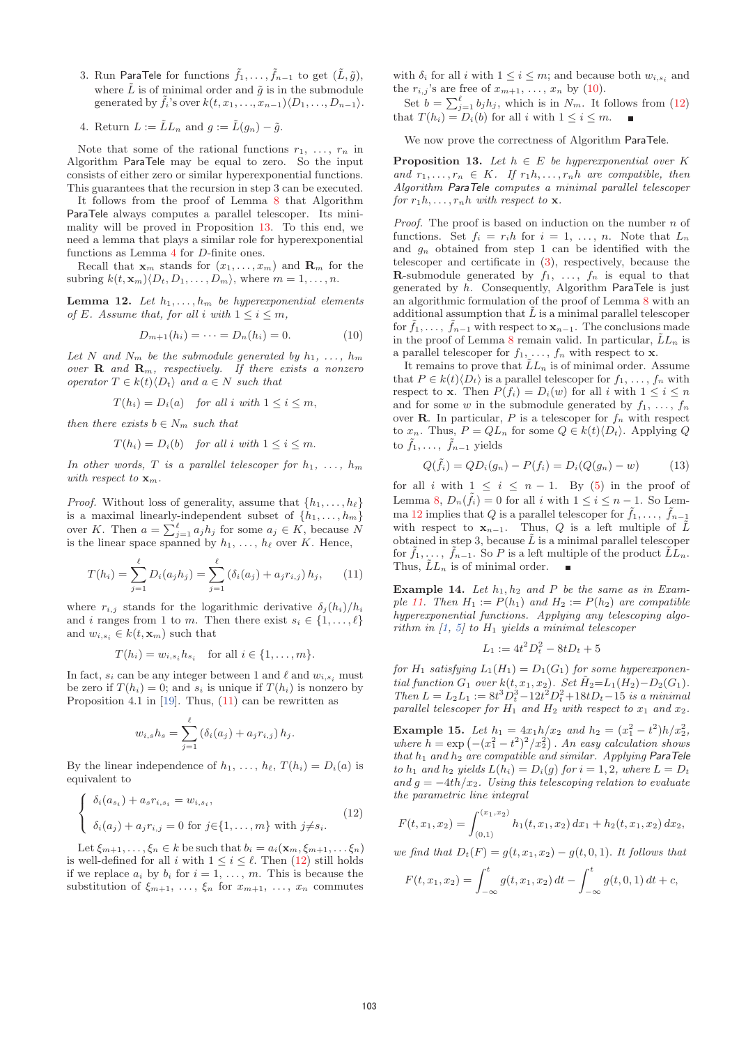- 3. Run ParaTele for functions  $\tilde{f}_1,\ldots,\tilde{f}_{n-1}$  to get  $(\tilde{L},\tilde{g})$ , where  $\tilde{L}$  is of minimal order and  $\tilde{q}$  is in the submodule generated by  $\tilde{f}_i$ 's over  $k(t, x_1, \ldots, x_{n-1})$  $\langle D_1, \ldots, D_{n-1} \rangle$ .
- 4. Return  $L := \tilde{L}L_n$  and  $g := \tilde{L}(g_n) \tilde{g}$ .

Note that some of the rational functions  $r_1, \ldots, r_n$  in Algorithm ParaTele may be equal to zero. So the input consists of either zero or similar hyperexponential functions. This guarantees that the recursion in step 3 can be executed.

It follows from the proof of Lemma 8 that Algorithm ParaTele always computes a parallel telescoper. Its minimality will be proved in Proposition 13. To this end, we need a lemma that plays a similar role for hyperexponential functions as Lemma 4 for D-finite ones.

Recall that  $\mathbf{x}_m$  stands for  $(x_1, \ldots, x_m)$  and  $\mathbf{R}_m$  for the subring  $k(t, \mathbf{x}_m) \langle D_t, D_1, \ldots, D_m \rangle$ , where  $m = 1, \ldots, n$ .

**Lemma 12.** Let  $h_1, \ldots, h_m$  be hyperexponential elements of E. Assume that, for all i with  $1 \leq i \leq m$ ,

$$
D_{m+1}(h_i) = \dots = D_n(h_i) = 0.
$$
 (10)

Let N and  $N_m$  be the submodule generated by  $h_1, \ldots, h_m$ over  $\mathbf{R}$  and  $\mathbf{R}_m$ , respectively. If there exists a nonzero operator  $T \in k(t) \langle D_t \rangle$  and  $a \in N$  such that

$$
T(h_i) = D_i(a) \quad \text{for all } i \text{ with } 1 \le i \le m,
$$

then there exists  $b \in N_m$  such that

$$
T(h_i) = D_i(b) \quad \text{for all } i \text{ with } 1 \le i \le m.
$$

In other words, T is a parallel telescoper for  $h_1, \ldots, h_m$ with respect to  $\mathbf{x}_m$ .

*Proof.* Without loss of generality, assume that  $\{h_1, \ldots, h_\ell\}$ is a maximal linearly-independent subset of  $\{h_1,\ldots,h_m\}$ over K. Then  $a = \sum_{j=1}^{\ell} a_j h_j$  for some  $a_j \in K$ , because N is the linear space spanned by  $h_1, \ldots, h_\ell$  over K. Hence,

$$
T(h_i) = \sum_{j=1}^{\ell} D_i(a_j h_j) = \sum_{j=1}^{\ell} (\delta_i(a_j) + a_j r_{i,j}) h_j, \qquad (11)
$$

where  $r_{i,j}$  stands for the logarithmic derivative  $\delta_i(h_i)/h_i$ and i ranges from 1 to m. Then there exist  $s_i \in \{1, \ldots, \ell\}$ and  $w_{i,s_i} \in k(t, \mathbf{x}_m)$  such that

$$
T(h_i) = w_{i,s_i} h_{s_i} \quad \text{for all } i \in \{1, \ldots, m\}.
$$

In fact,  $s_i$  can be any integer between 1 and  $\ell$  and  $w_{i,s_i}$  must be zero if  $T(h_i) = 0$ ; and  $s_i$  is unique if  $T(h_i)$  is nonzero by Proposition 4.1 in [19]. Thus, (11) can be rewritten as

$$
w_{i,s}h_s = \sum_{j=1}^{\ell} (\delta_i(a_j) + a_jr_{i,j})h_j.
$$

By the linear independence of  $h_1, \ldots, h_\ell, T(h_i) = D_i(a)$  is equivalent to

$$
\begin{cases}\n\delta_i(a_{s_i}) + a_s r_{i, s_i} = w_{i, s_i}, \\
\delta_i(a_j) + a_j r_{i, j} = 0 \text{ for } j \in \{1, \dots, m\} \text{ with } j \neq s_i.\n\end{cases}
$$
\n(12)

Let  $\xi_{m+1},\ldots,\xi_n \in k$  be such that  $b_i = a_i(\mathbf{x}_m,\xi_{m+1},\ldots,\xi_n)$ is well-defined for all i with  $1 \leq i \leq \ell$ . Then (12) still holds if we replace  $a_i$  by  $b_i$  for  $i = 1, \ldots, m$ . This is because the substitution of  $\xi_{m+1}, \ldots, \xi_n$  for  $x_{m+1}, \ldots, x_n$  commutes with  $\delta_i$  for all i with  $1 \leq i \leq m$ ; and because both  $w_{i,s_i}$  and the  $r_{i,j}$ 's are free of  $x_{m+1}, \ldots, x_n$  by (10).

Set  $b = \sum_{j=1}^{\ell} b_j h_j$ , which is in  $N_m$ . It follows from (12) that  $T(h_i) = D_i(b)$  for all i with  $1 \leq i \leq m$ .

We now prove the correctness of Algorithm ParaTele.

**Proposition 13.** Let  $h \in E$  be hyperexponential over K and  $r_1, \ldots, r_n \in K$ . If  $r_1 h, \ldots, r_n h$  are compatible, then Algorithm ParaTele computes a minimal parallel telescoper for  $r_1h, \ldots, r_nh$  with respect to **x**.

*Proof.* The proof is based on induction on the number  $n$  of functions. Set  $f_i = r_i h$  for  $i = 1, \ldots, n$ . Note that  $L_n$ and  $g_n$  obtained from step 1 can be identified with the telescoper and certificate in (3), respectively, because the **R**-submodule generated by  $f_1, \ldots, f_n$  is equal to that generated by  $h$ . Consequently, Algorithm ParaTele is just an algorithmic formulation of the proof of Lemma 8 with an additional assumption that  $\tilde{L}$  is a minimal parallel telescoper for  $\tilde{f}_1,\ldots,\tilde{f}_{n-1}$  with respect to  $\mathbf{x}_{n-1}$ . The conclusions made in the proof of Lemma 8 remain valid. In particular,  $\tilde{L}L_n$  is a parallel telescoper for  $f_1, \ldots, f_n$  with respect to **x**.

It remains to prove that  $\tilde{L}L_n$  is of minimal order. Assume that  $P \in k(t) \langle D_t \rangle$  is a parallel telescoper for  $f_1, \ldots, f_n$  with respect to **x**. Then  $P(f_i) = D_i(w)$  for all i with  $1 \leq i \leq n$ and for some w in the submodule generated by  $f_1, \ldots, f_n$ over **R**. In particular, P is a telescoper for  $f_n$  with respect to  $x_n$ . Thus,  $P = QL_n$  for some  $Q \in k(t) \langle D_t \rangle$ . Applying Q to  $\tilde{f}_1,\ldots,\ \tilde{f}_{n-1}$  yields

$$
Q(\tilde{f}_i) = QD_i(g_n) - P(f_i) = D_i(Q(g_n) - w)
$$
 (13)

for all i with  $1 \leq i \leq n-1$ . By (5) in the proof of Lemma 8,  $D_n(\tilde{f}_i) = 0$  for all i with  $1 \leq i \leq n-1$ . So Lemma 12 implies that Q is a parallel telescoper for  $\tilde{f}_1, \ldots, \tilde{f}_{n-1}$ with respect to  $\mathbf{x}_{n-1}$ . Thus, Q is a left multiple of  $\tilde{L}$ obtained in step 3, because  $\tilde{L}$  is a minimal parallel telescoper for  $f_1, \ldots, f_{n-1}$ . So P is a left multiple of the product  $\tilde{L}_{n}$ . Thus,  $LL_n$  is of minimal order.

**Example 14.** Let  $h_1, h_2$  and P be the same as in Example 11. Then  $H_1 := P(h_1)$  and  $H_2 := P(h_2)$  are compatible hyperexponential functions. Applying any telescoping algorithm in  $\left[1, 5\right]$  to  $H_1$  yields a minimal telescoper

$$
L_1 := 4t^2 D_t^2 - 8t D_t + 5
$$

for  $H_1$  satisfying  $L_1(H_1) = D_1(G_1)$  for some hyperexponential function  $G_1$  over  $k(t, x_1, x_2)$ . Set  $\tilde{H}_2 = L_1(H_2) - D_2(G_1)$ .  $Then L = L_2L_1 := 8t^3D_t^3 - 12t^2D_t^2 + 18tD_t - 15$  is a minimal parallel telescoper for  $H_1$  and  $H_2$  with respect to  $x_1$  and  $x_2$ .

**Example 15.** Let  $h_1 = 4x_1h/x_2$  and  $h_2 = (x_1^2 - t^2)h/x_2^2$ , where  $h = \exp \left(-\left(x_1^2 - t^2\right)^2 / x_2^2\right)$ . An easy calculation shows that  $h_1$  and  $h_2$  are compatible and similar. Applying ParaTele to  $h_1$  and  $h_2$  yields  $L(h_i) = D_i(q)$  for  $i = 1, 2$ , where  $L = D_t$ and  $g = -4th/x_2$ . Using this telescoping relation to evaluate the parametric line integral

$$
F(t, x_1, x_2) = \int_{(0,1)}^{(x_1, x_2)} h_1(t, x_1, x_2) dx_1 + h_2(t, x_1, x_2) dx_2,
$$

we find that  $D_t(F) = g(t, x_1, x_2) - g(t, 0, 1)$ . It follows that

$$
F(t, x_1, x_2) = \int_{-\infty}^t g(t, x_1, x_2) dt - \int_{-\infty}^t g(t, 0, 1) dt + c,
$$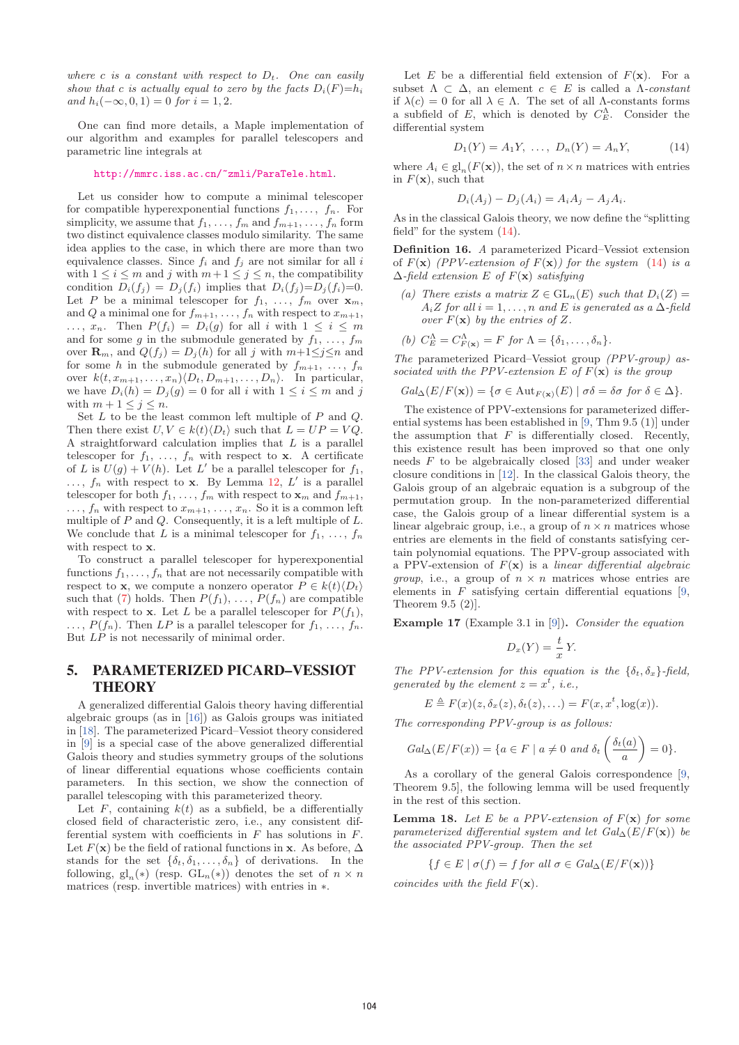where c is a constant with respect to  $D_t$ . One can easily show that c is actually equal to zero by the facts  $D_i(F)=h_i$ and  $h_i(-\infty, 0, 1) = 0$  for  $i = 1, 2$ .

One can find more details, a Maple implementation of our algorithm and examples for parallel telescopers and parametric line integrals at

#### http://mmrc.iss.ac.cn/~zmli/ParaTele.html.

Let us consider how to compute a minimal telescoper for compatible hyperexponential functions  $f_1, \ldots, f_n$ . For simplicity, we assume that  $f_1, \ldots, f_m$  and  $f_{m+1}, \ldots, f_n$  form two distinct equivalence classes modulo similarity. The same idea applies to the case, in which there are more than two equivalence classes. Since  $f_i$  and  $f_j$  are not similar for all i with  $1 \leq i \leq m$  and j with  $m+1 \leq j \leq n$ , the compatibility condition  $D_i(f_j) = D_j(f_i)$  implies that  $D_i(f_j)=D_j(f_i)=0$ . Let P be a minimal telescoper for  $f_1, \ldots, f_m$  over  $\mathbf{x}_m$ , and Q a minimal one for  $f_{m+1}, \ldots, f_n$  with respect to  $x_{m+1}$ ,  $\ldots, x_n$ . Then  $P(f_i) = D_i(g)$  for all i with  $1 \leq i \leq m$ and for some g in the submodule generated by  $f_1, \ldots, f_m$ over  $\mathbf{R}_m$ , and  $Q(f_j) = D_j(h)$  for all j with  $m+1 \leq j \leq n$  and for some h in the submodule generated by  $f_{m+1}, \ldots, f_n$ over  $k(t, x_{m+1},...,x_n)$  $\langle D_t, D_{m+1},...,D_n \rangle$ . In particular, we have  $D_i(h) = D_j(g) = 0$  for all i with  $1 \leq i \leq m$  and j with  $m + 1 \leq j \leq n$ .

Set  $L$  to be the least common left multiple of  $P$  and  $Q$ . Then there exist  $U, V \in k(t) \langle D_t \rangle$  such that  $L = UP = VQ$ . A straightforward calculation implies that  $L$  is a parallel telescoper for  $f_1, \ldots, f_n$  with respect to **x**. A certificate of L is  $U(g) + V(h)$ . Let L' be a parallel telescoper for  $f_1$ ,  $\ldots$ ,  $f_n$  with respect to **x**. By Lemma 12,  $L'$  is a parallel telescoper for both  $f_1, \ldots, f_m$  with respect to  $\mathbf{x}_m$  and  $f_{m+1}$ ,  $\ldots, f_n$  with respect to  $x_{m+1}, \ldots, x_n$ . So it is a common left multiple of  $P$  and  $Q$ . Consequently, it is a left multiple of  $L$ . We conclude that L is a minimal telescoper for  $f_1, \ldots, f_n$ with respect to **x**.

To construct a parallel telescoper for hyperexponential functions  $f_1, \ldots, f_n$  that are not necessarily compatible with respect to **x**, we compute a nonzero operator  $P \in k(t) \langle D_t \rangle$ such that (7) holds. Then  $P(f_1), \ldots, P(f_n)$  are compatible with respect to **x**. Let L be a parallel telescoper for  $P(f_1)$ ,  $\ldots, P(f_n)$ . Then LP is a parallel telescoper for  $f_1, \ldots, f_n$ . But LP is not necessarily of minimal order.

# 5. PARAMETERIZED PICARD–VESSIOT **THEORY**

A generalized differential Galois theory having differential algebraic groups (as in [16]) as Galois groups was initiated in [18]. The parameterized Picard–Vessiot theory considered in [9] is a special case of the above generalized differential Galois theory and studies symmetry groups of the solutions of linear differential equations whose coefficients contain parameters. In this section, we show the connection of parallel telescoping with this parameterized theory.

Let  $F$ , containing  $k(t)$  as a subfield, be a differentially closed field of characteristic zero, i.e., any consistent differential system with coefficients in  $F$  has solutions in  $F$ . Let  $F(\mathbf{x})$  be the field of rational functions in **x**. As before,  $\Delta$ stands for the set  $\{\delta_t, \delta_1, \ldots, \delta_n\}$  of derivations. In the following, gl<sub>n</sub>(\*) (resp. GL<sub>n</sub>(\*)) denotes the set of  $n \times n$ matrices (resp. invertible matrices) with entries in ∗.

Let  $E$  be a differential field extension of  $F(\mathbf{x})$ . For a subset  $\Lambda \subset \Delta$ , an element  $c \in E$  is called a  $\Lambda$ -constant if  $\lambda(c) = 0$  for all  $\lambda \in \Lambda$ . The set of all  $\Lambda$ -constants forms a subfield of E, which is denoted by  $C_E^{\Lambda}$ . Consider the differential system

$$
D_1(Y) = A_1 Y, \ldots, \ D_n(Y) = A_n Y, \tag{14}
$$

where  $A_i \in \text{gl}_n(F(\mathbf{x}))$ , the set of  $n \times n$  matrices with entries in  $F(\mathbf{x})$ , such that

$$
D_i(A_j) - D_j(A_i) = A_i A_j - A_j A_i.
$$

As in the classical Galois theory, we now define the "splitting field" for the system (14).

**Definition 16.** A parameterized Picard–Vessiot extension of  $F(\mathbf{x})$  (PPV-extension of  $F(\mathbf{x})$ ) for the system (14) is a Δ-field extension E of F(**x**) satisfying

- (a) There exists a matrix  $Z \in GL_n(E)$  such that  $D_i(Z) =$  $A_iZ$  for all  $i = 1, \ldots, n$  and E is generated as a  $\Delta$ -field over  $F(\mathbf{x})$  by the entries of Z.
- (b)  $C_E^{\Lambda} = C_{F(\mathbf{x})}^{\Lambda} = F$  for  $\Lambda = {\delta_1, \ldots, \delta_n}$ .

The parameterized Picard–Vessiot group (PPV-group) associated with the PPV-extension E of  $F(\mathbf{x})$  is the group

$$
Gal_{\Delta}(E/F(\mathbf{x})) = \{ \sigma \in Aut_{F(\mathbf{x})}(E) \mid \sigma \delta = \delta \sigma \text{ for } \delta \in \Delta \}.
$$

The existence of PPV-extensions for parameterized differential systems has been established in [9, Thm 9.5 (1)] under the assumption that  $F$  is differentially closed. Recently, this existence result has been improved so that one only needs F to be algebraically closed [33] and under weaker closure conditions in [12]. In the classical Galois theory, the Galois group of an algebraic equation is a subgroup of the permutation group. In the non-parameterized differential case, the Galois group of a linear differential system is a linear algebraic group, i.e., a group of  $n\times n$  matrices whose entries are elements in the field of constants satisfying certain polynomial equations. The PPV-group associated with a PPV-extension of  $F(\mathbf{x})$  is a *linear differential algebraic group*, i.e., a group of  $n \times n$  matrices whose entries are elements in  $F$  satisfying certain differential equations [9, Theorem 9.5 (2)].

**Example 17** (Example 3.1 in [9])**.** Consider the equation

$$
D_x(Y) = \frac{t}{x} Y.
$$

The PPV-extension for this equation is the  $\{\delta_t, \delta_x\}$ -field, generated by the element  $z = x^t$ , i.e.,

 $E \triangleq F(x)(z, \delta_x(z), \delta_t(z),...) = F(x, x^t, \log(x)).$ 

The corresponding PPV-group is as follows:

$$
Gal_{\Delta}(E/F(x)) = \{a \in F \mid a \neq 0 \text{ and } \delta_t\left(\frac{\delta_t(a)}{a}\right) = 0\}.
$$

As a corollary of the general Galois correspondence [9, Theorem 9.5], the following lemma will be used frequently in the rest of this section.

**Lemma 18.** Let E be a PPV-extension of  $F(\mathbf{x})$  for some parameterized differential system and let  $Gal_{\Delta}(E/F(\mathbf{x}))$  be the associated PPV-group. Then the set

$$
\{f \in E \mid \sigma(f) = f \text{ for all } \sigma \in \text{Gal}_{\Delta}(E/F(\mathbf{x}))\}
$$

coincides with the field  $F(\mathbf{x})$ .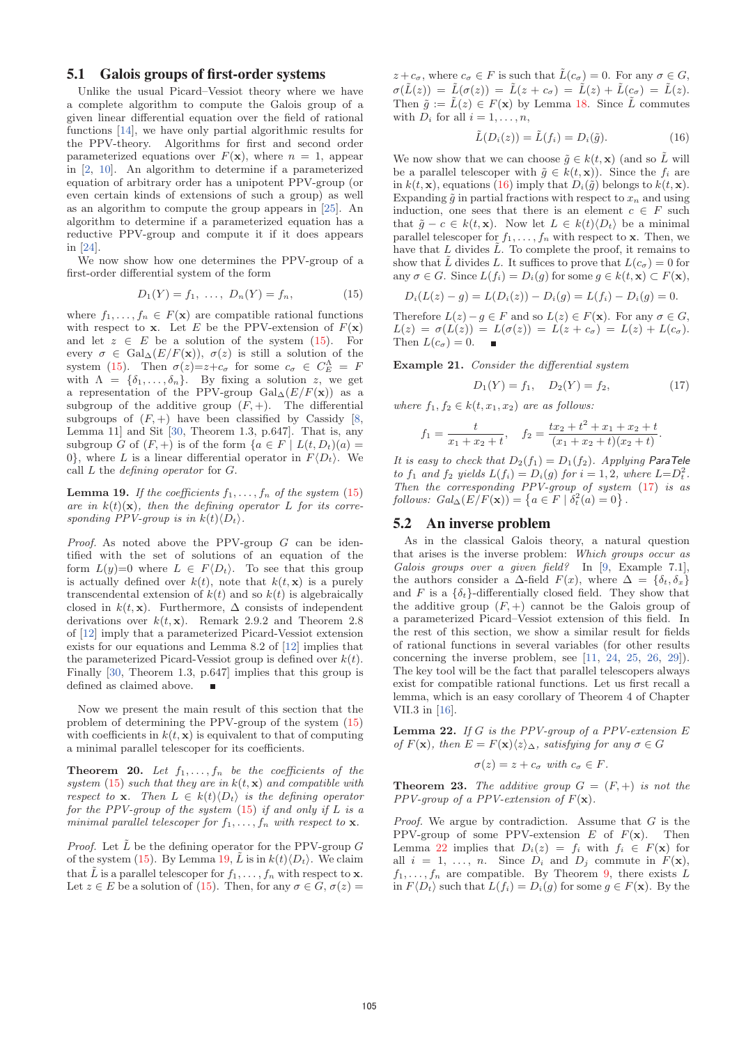## 5.1 Galois groups of first-order systems

Unlike the usual Picard–Vessiot theory where we have a complete algorithm to compute the Galois group of a given linear differential equation over the field of rational functions [14], we have only partial algorithmic results for the PPV-theory. Algorithms for first and second order parameterized equations over  $F(\mathbf{x})$ , where  $n = 1$ , appear in [2, 10]. An algorithm to determine if a parameterized equation of arbitrary order has a unipotent PPV-group (or even certain kinds of extensions of such a group) as well as an algorithm to compute the group appears in [25]. An algorithm to determine if a parameterized equation has a reductive PPV-group and compute it if it does appears in [24].

We now show how one determines the PPV-group of a first-order differential system of the form

$$
D_1(Y) = f_1, \ \ldots, \ D_n(Y) = f_n,
$$
 (15)

where  $f_1, \ldots, f_n \in F(\mathbf{x})$  are compatible rational functions with respect to **x**. Let E be the PPV-extension of  $F(\mathbf{x})$ and let  $z \in E$  be a solution of the system (15). For every  $\sigma \in \text{Gal}_{\Delta}(E/F(\mathbf{x}))$ ,  $\sigma(z)$  is still a solution of the system (15). Then  $\sigma(z) = z + c_{\sigma}$  for some  $c_{\sigma} \in C_E^{\Lambda} = F$ with  $\Lambda = {\delta_1, \ldots, \delta_n}$ . By fixing a solution z, we get a representation of the PPV-group  $Gal_{\Delta}(E/F(\mathbf{x}))$  as a subgroup of the additive group  $(F, +)$ . The differential subgroups of  $(F, +)$  have been classified by Cassidy [8, Lemma 11] and Sit [30, Theorem 1.3, p.647]. That is, any subgroup G of  $(F, +)$  is of the form  $\{a \in F \mid L(t, D_t)(a) =$ 0, where L is a linear differential operator in  $F\langle D_t \rangle$ . We call  $L$  the *defining operator* for  $G$ .

**Lemma 19.** If the coefficients  $f_1, \ldots, f_n$  of the system (15) are in  $k(t)(\mathbf{x})$ , then the defining operator L for its corresponding PPV-group is in  $k(t)\langle D_t\rangle$ .

*Proof.* As noted above the PPV-group  $G$  can be identified with the set of solutions of an equation of the form  $L(y)=0$  where  $L \in F\langle D_t \rangle$ . To see that this group is actually defined over  $k(t)$ , note that  $k(t, \mathbf{x})$  is a purely transcendental extension of  $k(t)$  and so  $k(t)$  is algebraically closed in  $k(t, \mathbf{x})$ . Furthermore,  $\Delta$  consists of independent derivations over  $k(t, \mathbf{x})$ . Remark 2.9.2 and Theorem 2.8 of [12] imply that a parameterized Picard-Vessiot extension exists for our equations and Lemma 8.2 of [12] implies that the parameterized Picard-Vessiot group is defined over  $k(t)$ . Finally [30, Theorem 1.3, p.647] implies that this group is defined as claimed above.

Now we present the main result of this section that the problem of determining the PPV-group of the system (15) with coefficients in  $k(t, x)$  is equivalent to that of computing a minimal parallel telescoper for its coefficients.

**Theorem 20.** Let  $f_1, \ldots, f_n$  be the coefficients of the system (15) such that they are in  $k(t, \mathbf{x})$  and compatible with respect to **x**. Then  $L \in k(t) \langle D_t \rangle$  is the defining operator for the PPV-group of the system  $(15)$  if and only if L is a minimal parallel telescoper for  $f_1, \ldots, f_n$  with respect to **x**.

*Proof.* Let  $\tilde{L}$  be the defining operator for the PPV-group G of the system (15). By Lemma 19,  $\tilde{L}$  is in  $k(t)\langle D_t\rangle$ . We claim that  $\tilde{L}$  is a parallel telescoper for  $f_1, \ldots, f_n$  with respect to **x**. Let  $z \in E$  be a solution of (15). Then, for any  $\sigma \in G$ ,  $\sigma(z) =$ 

 $z + c_{\sigma}$ , where  $c_{\sigma} \in F$  is such that  $\tilde{L}(c_{\sigma}) = 0$ . For any  $\sigma \in G$ ,  $\sigma(\tilde{L}(z)) = \tilde{L}(\sigma(z)) = \tilde{L}(z + c_{\sigma}) = \tilde{L}(z) + \tilde{L}(c_{\sigma}) = \tilde{L}(z).$ Then  $\tilde{q} := \tilde{L}(z) \in F(\mathbf{x})$  by Lemma 18. Since  $\tilde{L}$  commutes with  $D_i$  for all  $i = 1, \ldots, n$ ,

$$
\tilde{L}(D_i(z)) = \tilde{L}(f_i) = D_i(\tilde{g}).
$$
\n(16)

We now show that we can choose  $\tilde{g} \in k(t, \mathbf{x})$  (and so L will be a parallel telescoper with  $\tilde{g} \in k(t, \mathbf{x})$ . Since the  $f_i$  are in  $k(t, \mathbf{x})$ , equations (16) imply that  $D_i(\tilde{g})$  belongs to  $k(t, \mathbf{x})$ . Expanding  $\tilde{g}$  in partial fractions with respect to  $x_n$  and using induction, one sees that there is an element  $c \in F$  such that  $\tilde{g} - c \in k(t, \mathbf{x})$ . Now let  $L \in k(t) \langle D_t \rangle$  be a minimal parallel telescoper for  $f_1, \ldots, f_n$  with respect to **x**. Then, we have that L divides  $\tilde{L}$ . To complete the proof, it remains to show that  $\tilde{L}$  divides L. It suffices to prove that  $L(c_{\sigma}) = 0$  for any  $\sigma \in G$ . Since  $L(f_i) = D_i(g)$  for some  $g \in k(t, \mathbf{x}) \subset F(\mathbf{x}),$ 

$$
D_i(L(z) - g) = L(D_i(z)) - D_i(g) = L(f_i) - D_i(g) = 0.
$$

Therefore  $L(z) - g \in F$  and so  $L(z) \in F(\mathbf{x})$ . For any  $\sigma \in G$ ,  $L(z) = \sigma(L(z)) = L(\sigma(z)) = L(z + c_{\sigma}) = L(z) + L(c_{\sigma}).$ Then  $L(c_{\sigma})=0$ .

**Example 21.** Consider the differential system

$$
D_1(Y) = f_1, \quad D_2(Y) = f_2,\tag{17}
$$

where  $f_1, f_2 \in k(t, x_1, x_2)$  are as follows:

$$
f_1 = \frac{t}{x_1 + x_2 + t}
$$
,  $f_2 = \frac{tx_2 + t^2 + x_1 + x_2 + t}{(x_1 + x_2 + t)(x_2 + t)}$ .

It is easy to check that  $D_2(f_1) = D_1(f_2)$ . Applying ParaTele to  $f_1$  and  $f_2$  yields  $L(f_i) = D_i(g)$  for  $i = 1, 2$ , where  $L = D_i^2$ . Then the corresponding  $PPV$ -group of system  $(17)$  is as  $follows: Gal_{\Delta}(E/F(\mathbf{x})) = \{a \in F \mid \delta_t^2(a) = 0\}.$ 

#### 5.2 An inverse problem

As in the classical Galois theory, a natural question that arises is the inverse problem: Which groups occur as Galois groups over a given field? In [9, Example 7.1], the authors consider a  $\Delta$ -field  $F(x)$ , where  $\Delta = {\delta_t, \delta_x}$ and F is a  $\{\delta_t\}$ -differentially closed field. They show that the additive group  $(F, +)$  cannot be the Galois group of a parameterized Picard–Vessiot extension of this field. In the rest of this section, we show a similar result for fields of rational functions in several variables (for other results concerning the inverse problem, see [11, 24, 25, 26, 29]). The key tool will be the fact that parallel telescopers always exist for compatible rational functions. Let us first recall a lemma, which is an easy corollary of Theorem 4 of Chapter VII.3 in [16].

**Lemma 22.** If G is the PPV-group of a PPV-extension E of  $F(\mathbf{x})$ , then  $E = F(\mathbf{x})\langle z \rangle_{\Delta}$ , satisfying for any  $\sigma \in G$ 

$$
\sigma(z) = z + c_{\sigma} \text{ with } c_{\sigma} \in F.
$$

**Theorem 23.** The additive group  $G = (F, +)$  is not the PPV-group of a PPV-extension of F(**x**).

*Proof.* We argue by contradiction. Assume that  $G$  is the PPV-group of some PPV-extension  $E$  of  $F(\mathbf{x})$ . Then Lemma 22 implies that  $D_i(z) = f_i$  with  $f_i \in F(\mathbf{x})$  for all  $i = 1, \ldots, n$ . Since  $D_i$  and  $D_j$  commute in  $F(\mathbf{x})$ ,  $f_1, \ldots, f_n$  are compatible. By Theorem 9, there exists L in  $F\langle D_t \rangle$  such that  $L(f_i) = D_i(g)$  for some  $g \in F(\mathbf{x})$ . By the